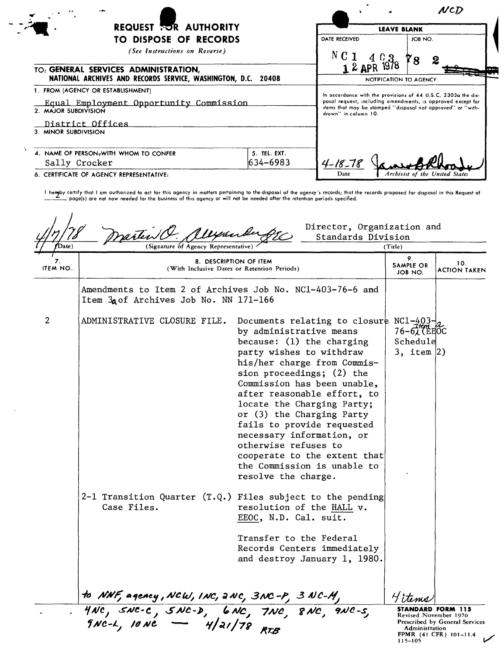|                                                                                                       |                                                                                     |                        | NCD                                                           |  |
|-------------------------------------------------------------------------------------------------------|-------------------------------------------------------------------------------------|------------------------|---------------------------------------------------------------|--|
| <b>REQUEST TOR AUTHORITY</b>                                                                          |                                                                                     | <b>LEAVE BLANK</b>     |                                                               |  |
| TO DISPOSE OF RECORDS                                                                                 |                                                                                     | <b>DATE RECEIVED</b>   | JOB NO.                                                       |  |
| (See Instructions on Reverse)                                                                         |                                                                                     | N C 1                  | 78                                                            |  |
| TO: GENERAL SERVICES ADMINISTRATION,<br>NATIONAL ARCHIVES AND RECORDS SERVICE, WASHINGTON, D.C. 20408 |                                                                                     | 1 2 APR 1978           |                                                               |  |
|                                                                                                       |                                                                                     | NOTIFICATION TO AGENCY |                                                               |  |
| 1. FROM (AGENCY OR ESTABLISHMENT)                                                                     |                                                                                     |                        | In accordance with the provisions of 44 U.S.C. 3303a the dis- |  |
| Equal Employment Opportunity Commission                                                               |                                                                                     |                        | posal request, including amendments, is appraved except for   |  |
| 2. MAJOR SUBDIVISION                                                                                  | items that may be stamped "disposal not approved" or "with-<br>drown" in column 10. |                        |                                                               |  |
| District Offices                                                                                      |                                                                                     |                        |                                                               |  |
| 3. MINOR SUBDIVISION                                                                                  |                                                                                     |                        |                                                               |  |
| 4. NAME OF PERSON <sub>t</sub> WITH WHOM TO CONFER                                                    | 5. TEL. EXT.                                                                        |                        |                                                               |  |
| Sally Crocker                                                                                         | 634-6983                                                                            | $4 - 18 - 78$          |                                                               |  |
| 6. CERTIFICATE OF AGENCY REPRESENTATIVE:                                                              |                                                                                     | Date                   | Archivist of the United States                                |  |

l heroby certify that I am authorized to act for this agency in matters pertaining to the disposal of the agency's records; that the records proposed for dispasal in this Request of the besiness of this agency or will not

| 8. DESCRIPTION OF ITEM<br>10.<br>SAMPLE OR<br>ITEM NO.<br>(With Inclusive Dates or Retention Periods)<br>JOB NO.<br>Amendments to Item 2 of Archives Job No. NC1-403-76-6 and<br>Item 3a of Archives Job No. NN 171-166<br>$\overline{2}$<br>ADMINISTRATIVE CLOSURE FILE.<br>Documents relating to closure NC1-403-<br>by administrative means<br><b>76-6人 (EEOC</b><br>Schedule<br>because: $(1)$ the charging<br>party wishes to withdraw<br>3, item $ 2)$<br>his/her charge from Commis-<br>sion proceedings; (2) the<br>Commission has been unable,<br>after reasonable effort, to<br>locate the Charging Party;<br>or (3) the Charging Party<br>fails to provide requested<br>necessary information, or<br>otherwise refuses to<br>cooperate to the extent that<br>the Commission is unable to<br>resolve the charge.<br>2-1 Transition Quarter (T.Q.) Files subject to the pending<br>resolution of the HALL v.<br>Case Files.<br>EEOC, N.D. Cal. suit.<br>Transfer to the Federal<br>Records Centers immediately<br>and destroy January 1, 1980. | Date) | (Signature of Agency Representative |  | (Title)<br>9. |                     |
|---------------------------------------------------------------------------------------------------------------------------------------------------------------------------------------------------------------------------------------------------------------------------------------------------------------------------------------------------------------------------------------------------------------------------------------------------------------------------------------------------------------------------------------------------------------------------------------------------------------------------------------------------------------------------------------------------------------------------------------------------------------------------------------------------------------------------------------------------------------------------------------------------------------------------------------------------------------------------------------------------------------------------------------------------------|-------|-------------------------------------|--|---------------|---------------------|
|                                                                                                                                                                                                                                                                                                                                                                                                                                                                                                                                                                                                                                                                                                                                                                                                                                                                                                                                                                                                                                                         |       |                                     |  |               | <b>ACTION TAKEN</b> |
|                                                                                                                                                                                                                                                                                                                                                                                                                                                                                                                                                                                                                                                                                                                                                                                                                                                                                                                                                                                                                                                         |       |                                     |  |               |                     |
|                                                                                                                                                                                                                                                                                                                                                                                                                                                                                                                                                                                                                                                                                                                                                                                                                                                                                                                                                                                                                                                         |       |                                     |  |               |                     |
| to NNF, agency , NCW, INC, 2NC, 3NC-P <sub>,</sub> 3NC-H,<br>4NC, SNC-C , SNC-D, 6NC, 7NC, 8NC, 9NC-S,                                                                                                                                                                                                                                                                                                                                                                                                                                                                                                                                                                                                                                                                                                                                                                                                                                                                                                                                                  |       |                                     |  |               |                     |

 $\ddot{\phantom{a}}$